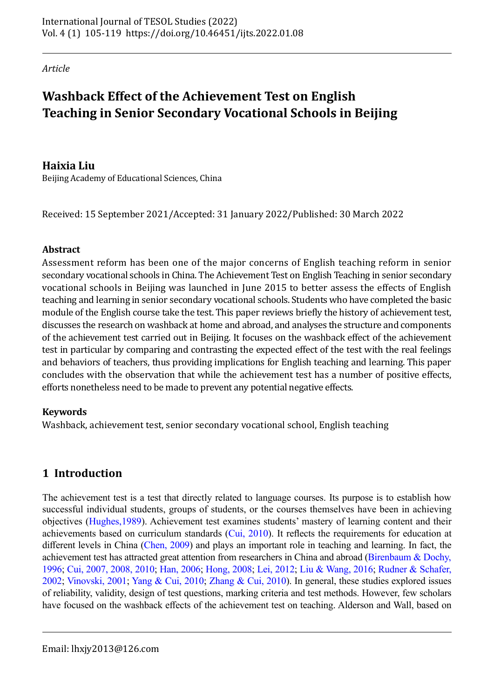*Article*

# **Washback Effect of the Achievement Test on English Teaching in Senior Secondary Vocational Schools in Beijing**

# **Haixia Liu**

Beijing Academy of Educational Sciences, China

Received: 15 September 2021/Accepted: 31 January 2022/Published: 30 March 2022

## **Abstract**

Assessment reform has been one of the major concerns of English teaching reform in senior secondary vocational schools in China. The Achievement Test on English Teaching in senior secondary vocational schools in Beijing was launched in June 2015 to better assess the effects of English teaching and learning in senior secondary vocational schools. Students who have completed the basic module of the English course take the test. This paper reviews briefly the history of achievement test, discusses the research on washback at home and abroad, and analyses the structure and components of the achievement test carried out in Beijing. It focuses on the washback effect of the achievement test in particular by comparing and contrasting the expected effect of the test with the real feelings and behaviors of teachers, thus providing implications for English teaching and learning. This paper concludes with the observation that while the achievement test has a number of positive effects, efforts nonetheless need to be made to prevent any potential negative effects.

## **Keywords**

Washback, achievement test, senior secondary vocational school, English teaching

# **1 Introduction**

The achievement test is a test that directly related to language courses. Its purpose is to establish how successful individual students, groups of students, or the courses themselves have been in achieving objectives [\(Hughes,1989](#page-13-0)). Achievement test examines students' mastery of learning content and their achievements based on curriculum standards [\(Cui, 2010](#page-13-1)). It reflects the requirements for education at different levels in China ([Chen, 2009](#page-13-2)) and plays an important role in teaching and learning. In fact, the achievement test has attracted great attention from researchers in China and abroad ([Birenbaum & Dochy,](#page-13-3)  [1996;](#page-13-3) [Cui, 2007,](#page-13-4) [2008,](#page-13-5) [2010](#page-13-1); [Han, 2006;](#page-13-6) [Hong, 2008;](#page-13-7) [Lei, 2012](#page-13-8); [Liu & Wang, 2016;](#page-13-9) [Rudner & Schafer,](#page-13-10) [2002;](#page-13-10) [Vinovski, 2001;](#page-13-11) [Yang & Cui, 2010;](#page-13-12) [Zhang & Cui, 2010\)](#page-14-0). In general, these studies explored issues of reliability, validity, design of test questions, marking criteria and test methods. However, few scholars have focused on the washback effects of the achievement test on teaching. Alderson and Wall, based on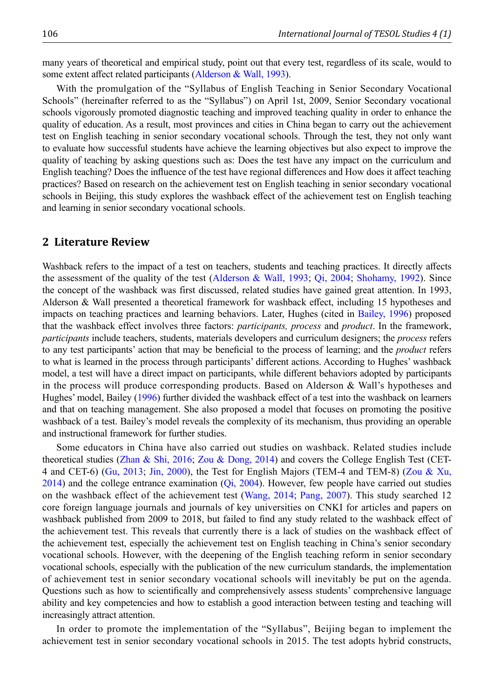many years of theoretical and empirical study, point out that every test, regardless of its scale, would to some extent affect related participants ([Alderson & Wall, 1993](#page-12-0)).

With the promulgation of the "Syllabus of English Teaching in Senior Secondary Vocational Schools" (hereinafter referred to as the "Syllabus") on April 1st, 2009, Senior Secondary vocational schools vigorously promoted diagnostic teaching and improved teaching quality in order to enhance the quality of education. As a result, most provinces and cities in China began to carry out the achievement test on English teaching in senior secondary vocational schools. Through the test, they not only want to evaluate how successful students have achieve the learning objectives but also expect to improve the quality of teaching by asking questions such as: Does the test have any impact on the curriculum and English teaching? Does the influence of the test have regional differences and How does it affect teaching practices? Based on research on the achievement test on English teaching in senior secondary vocational schools in Beijing, this study explores the washback effect of the achievement test on English teaching and learning in senior secondary vocational schools.

### **2 Literature Review**

Washback refers to the impact of a test on teachers, students and teaching practices. It directly affects the assessment of the quality of the test ([Alderson & Wall, 1993;](#page-12-0) [Qi, 2004;](#page-13-13) [Shohamy, 1992](#page-13-14)). Since the concept of the washback was first discussed, related studies have gained great attention. In 1993, Alderson & Wall presented a theoretical framework for washback effect, including 15 hypotheses and impacts on teaching practices and learning behaviors. Later, Hughes (cited in [Bailey, 1996\)](#page-13-15) proposed that the washback effect involves three factors: *participants, process* and *product*. In the framework, *participants* include teachers, students, materials developers and curriculum designers; the *process* refers to any test participants' action that may be beneficial to the process of learning; and the *product* refers to what is learned in the process through participants' different actions. According to Hughes' washback model, a test will have a direct impact on participants, while different behaviors adopted by participants in the process will produce corresponding products. Based on Alderson & Wall's hypotheses and Hughes' model, Bailey ([1996](#page-13-15)) further divided the washback effect of a test into the washback on learners and that on teaching management. She also proposed a model that focuses on promoting the positive washback of a test. Bailey's model reveals the complexity of its mechanism, thus providing an operable and instructional framework for further studies.

Some educators in China have also carried out studies on washback. Related studies include theoretical studies [\(Zhan & Shi, 2016](#page-14-1); [Zou & Dong, 2014\)](#page-14-2) and covers the College English Test (CET-4 and CET-6) ([Gu, 2013;](#page-13-16) [Jin, 2000](#page-13-17)), the Test for English Majors (TEM-4 and TEM-8) ([Zou & Xu,](#page-14-2)  $2014$ ) and the college entrance examination ( $Qi$ ,  $2004$ ). However, few people have carried out studies on the washback effect of the achievement test ([Wang, 2014](#page-13-18); [Pang, 2007\)](#page-13-19). This study searched 12 core foreign language journals and journals of key universities on CNKI for articles and papers on washback published from 2009 to 2018, but failed to find any study related to the washback effect of the achievement test. This reveals that currently there is a lack of studies on the washback effect of the achievement test, especially the achievement test on English teaching in China's senior secondary vocational schools. However, with the deepening of the English teaching reform in senior secondary vocational schools, especially with the publication of the new curriculum standards, the implementation of achievement test in senior secondary vocational schools will inevitably be put on the agenda. Questions such as how to scientifically and comprehensively assess students' comprehensive language ability and key competencies and how to establish a good interaction between testing and teaching will increasingly attract attention.

In order to promote the implementation of the "Syllabus", Beijing began to implement the achievement test in senior secondary vocational schools in 2015. The test adopts hybrid constructs,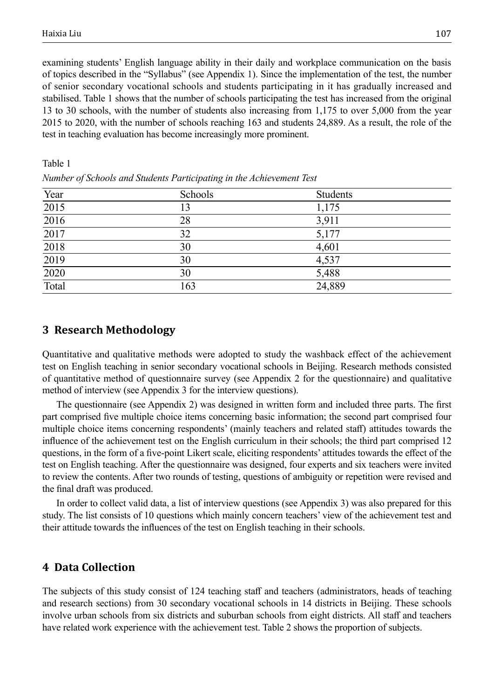Table 1

examining students' English language ability in their daily and workplace communication on the basis of topics described in the "Syllabus" (see Appendix 1). Since the implementation of the test, the number of senior secondary vocational schools and students participating in it has gradually increased and stabilised. Table 1 shows that the number of schools participating the test has increased from the original 13 to 30 schools, with the number of students also increasing from 1,175 to over 5,000 from the year 2015 to 2020, with the number of schools reaching 163 and students 24,889. As a result, the role of the test in teaching evaluation has become increasingly more prominent.

| Trainber of Schools and Statems I articipating in the Achtevelheith Test |         |          |  |  |  |
|--------------------------------------------------------------------------|---------|----------|--|--|--|
| Year                                                                     | Schools | Students |  |  |  |
| 2015                                                                     | 13      | 1,175    |  |  |  |
| 2016                                                                     | 28      | 3,911    |  |  |  |
| 2017                                                                     | 32      | 5,177    |  |  |  |
| 2018                                                                     | 30      | 4,601    |  |  |  |
| 2019                                                                     | 30      | 4,537    |  |  |  |
| $\frac{1}{2020}$                                                         | 30      | 5,488    |  |  |  |
| Total                                                                    | 163     | 24,889   |  |  |  |

*Number of Schools and Students Participating in the Achievement Test*

## **3 Research Methodology**

Quantitative and qualitative methods were adopted to study the washback effect of the achievement test on English teaching in senior secondary vocational schools in Beijing. Research methods consisted of quantitative method of questionnaire survey (see Appendix 2 for the questionnaire) and qualitative method of interview (see Appendix 3 for the interview questions).

The questionnaire (see Appendix 2) was designed in written form and included three parts. The first part comprised five multiple choice items concerning basic information; the second part comprised four multiple choice items concerning respondents' (mainly teachers and related staff) attitudes towards the influence of the achievement test on the English curriculum in their schools; the third part comprised 12 questions, in the form of a five-point Likert scale, eliciting respondents' attitudes towards the effect of the test on English teaching. After the questionnaire was designed, four experts and six teachers were invited to review the contents. After two rounds of testing, questions of ambiguity or repetition were revised and the final draft was produced.

In order to collect valid data, a list of interview questions (see Appendix 3) was also prepared for this study. The list consists of 10 questions which mainly concern teachers' view of the achievement test and their attitude towards the influences of the test on English teaching in their schools.

## **4 Data Collection**

The subjects of this study consist of 124 teaching staff and teachers (administrators, heads of teaching and research sections) from 30 secondary vocational schools in 14 districts in Beijing. These schools involve urban schools from six districts and suburban schools from eight districts. All staff and teachers have related work experience with the achievement test. Table 2 shows the proportion of subjects.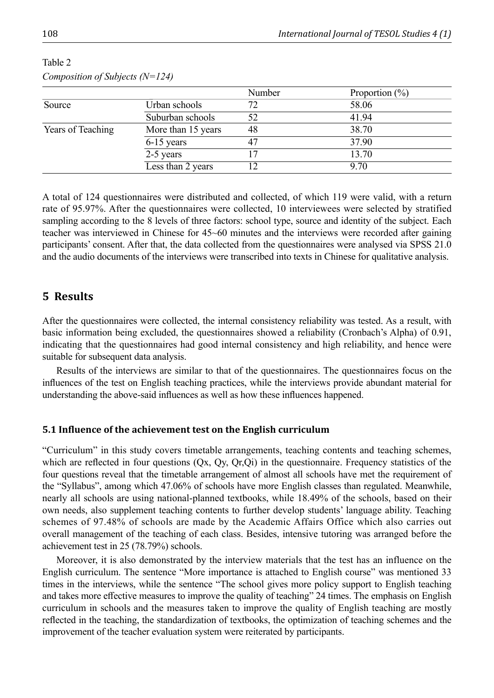|                   |                    | Number | Proportion $(\% )$ |
|-------------------|--------------------|--------|--------------------|
| Source            | Urban schools      | 72     | 58.06              |
|                   | Suburban schools   | 52     | 41.94              |
| Years of Teaching | More than 15 years | 48     | 38.70              |
|                   | $6-15$ years       | 47     | 37.90              |
|                   | 2-5 years          |        | 13.70              |
|                   | Less than 2 years  |        | 9.70               |

Table 2 *Composition of Subjects (N=124)*

A total of 124 questionnaires were distributed and collected, of which 119 were valid, with a return rate of 95.97%. After the questionnaires were collected, 10 interviewees were selected by stratified sampling according to the 8 levels of three factors: school type, source and identity of the subject. Each teacher was interviewed in Chinese for 45~60 minutes and the interviews were recorded after gaining participants' consent. After that, the data collected from the questionnaires were analysed via SPSS 21.0 and the audio documents of the interviews were transcribed into texts in Chinese for qualitative analysis.

## **5 Results**

After the questionnaires were collected, the internal consistency reliability was tested. As a result, with basic information being excluded, the questionnaires showed a reliability (Cronbach's Alpha) of 0.91, indicating that the questionnaires had good internal consistency and high reliability, and hence were suitable for subsequent data analysis.

Results of the interviews are similar to that of the questionnaires. The questionnaires focus on the influences of the test on English teaching practices, while the interviews provide abundant material for understanding the above-said influences as well as how these influences happened.

#### **5.1 Influence of the achievement test on the English curriculum**

"Curriculum" in this study covers timetable arrangements, teaching contents and teaching schemes, which are reflected in four questions (Qx, Qy, Qr,Qi) in the questionnaire. Frequency statistics of the four questions reveal that the timetable arrangement of almost all schools have met the requirement of the "Syllabus", among which 47.06% of schools have more English classes than regulated. Meanwhile, nearly all schools are using national-planned textbooks, while 18.49% of the schools, based on their own needs, also supplement teaching contents to further develop students' language ability. Teaching schemes of 97.48% of schools are made by the Academic Affairs Office which also carries out overall management of the teaching of each class. Besides, intensive tutoring was arranged before the achievement test in 25 (78.79%) schools.

Moreover, it is also demonstrated by the interview materials that the test has an influence on the English curriculum. The sentence "More importance is attached to English course" was mentioned 33 times in the interviews, while the sentence "The school gives more policy support to English teaching and takes more effective measures to improve the quality of teaching" 24 times. The emphasis on English curriculum in schools and the measures taken to improve the quality of English teaching are mostly reflected in the teaching, the standardization of textbooks, the optimization of teaching schemes and the improvement of the teacher evaluation system were reiterated by participants.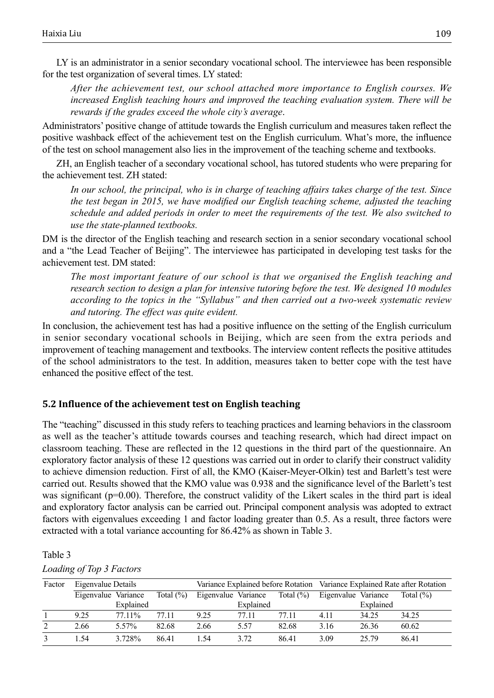LY is an administrator in a senior secondary vocational school. The interviewee has been responsible for the test organization of several times. LY stated:

*After the achievement test, our school attached more importance to English courses. We increased English teaching hours and improved the teaching evaluation system. There will be rewards if the grades exceed the whole city's average*.

Administrators' positive change of attitude towards the English curriculum and measures taken reflect the positive washback effect of the achievement test on the English curriculum. What's more, the influence of the test on school management also lies in the improvement of the teaching scheme and textbooks.

ZH, an English teacher of a secondary vocational school, has tutored students who were preparing for the achievement test. ZH stated:

*In our school, the principal, who is in charge of teaching affairs takes charge of the test. Since the test began in 2015, we have modified our English teaching scheme, adjusted the teaching schedule and added periods in order to meet the requirements of the test. We also switched to use the state-planned textbooks.*

DM is the director of the English teaching and research section in a senior secondary vocational school and a "the Lead Teacher of Beijing". The interviewee has participated in developing test tasks for the achievement test. DM stated:

*The most important feature of our school is that we organised the English teaching and research section to design a plan for intensive tutoring before the test. We designed 10 modules according to the topics in the "Syllabus" and then carried out a two-week systematic review and tutoring. The effect was quite evident.*

In conclusion, the achievement test has had a positive influence on the setting of the English curriculum in senior secondary vocational schools in Beijing, which are seen from the extra periods and improvement of teaching management and textbooks. The interview content reflects the positive attitudes of the school administrators to the test. In addition, measures taken to better cope with the test have enhanced the positive effect of the test.

#### **5.2 Influence of the achievement test on English teaching**

The "teaching" discussed in this study refers to teaching practices and learning behaviors in the classroom as well as the teacher's attitude towards courses and teaching research, which had direct impact on classroom teaching. These are reflected in the 12 questions in the third part of the questionnaire. An exploratory factor analysis of these 12 questions was carried out in order to clarify their construct validity to achieve dimension reduction. First of all, the KMO (Kaiser-Meyer-Olkin) test and Barlett's test were carried out. Results showed that the KMO value was 0.938 and the significance level of the Barlett's test was significant ( $p=0.00$ ). Therefore, the construct validity of the Likert scales in the third part is ideal and exploratory factor analysis can be carried out. Principal component analysis was adopted to extract factors with eigenvalues exceeding 1 and factor loading greater than 0.5. As a result, three factors were extracted with a total variance accounting for 86.42% as shown in Table 3.

#### Table 3

#### *Loading of Top 3 Factors*

| Factor | Eigenvalue Details  |           |               |      | Variance Explained before Rotation Variance Explained Rate after Rotation |       |                     |           |               |
|--------|---------------------|-----------|---------------|------|---------------------------------------------------------------------------|-------|---------------------|-----------|---------------|
|        | Eigenvalue Variance |           | Total $(\% )$ |      | Eigenvalue Variance Total $(\%)$                                          |       | Eigenvalue Variance |           | Total $(\% )$ |
|        |                     | Explained |               |      | Explained                                                                 |       |                     | Explained |               |
|        | 9.25                | 77.11%    | 77.11         | 9.25 | 77.11                                                                     | 77.11 | 4.11                | 34.25     | 34.25         |
|        | 2.66                | 5.57%     | 82.68         | 2.66 | 5.57                                                                      | 82.68 | 3.16                | 26.36     | 60.62         |
|        | 1.54                | 3.728%    | 86.41         | 1.54 | 3.72                                                                      | 86.41 | 3.09                | 25.79     | 86.41         |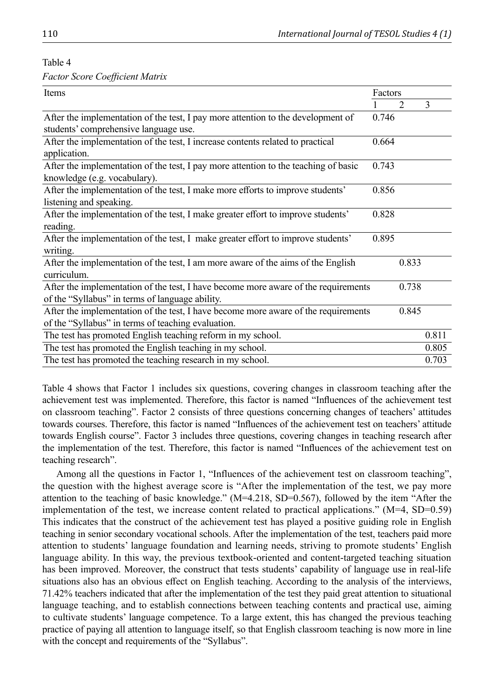Table 4

| Factor Score Coefficient Matrix |  |  |  |
|---------------------------------|--|--|--|
|---------------------------------|--|--|--|

| Items                                                                                                                                    | Factors |       |       |
|------------------------------------------------------------------------------------------------------------------------------------------|---------|-------|-------|
|                                                                                                                                          |         | 2     | 3     |
| After the implementation of the test, I pay more attention to the development of                                                         | 0.746   |       |       |
| students' comprehensive language use.                                                                                                    |         |       |       |
| After the implementation of the test, I increase contents related to practical<br>application.                                           | 0.664   |       |       |
| After the implementation of the test, I pay more attention to the teaching of basic<br>knowledge (e.g. vocabulary).                      | 0.743   |       |       |
| After the implementation of the test, I make more efforts to improve students'<br>listening and speaking.                                | 0.856   |       |       |
| After the implementation of the test, I make greater effort to improve students'<br>reading.                                             | 0.828   |       |       |
| After the implementation of the test, I make greater effort to improve students'<br>writing.                                             | 0.895   |       |       |
| After the implementation of the test, I am more aware of the aims of the English<br>curriculum.                                          |         | 0.833 |       |
| After the implementation of the test, I have become more aware of the requirements<br>of the "Syllabus" in terms of language ability.    |         | 0.738 |       |
| After the implementation of the test, I have become more aware of the requirements<br>of the "Syllabus" in terms of teaching evaluation. |         | 0.845 |       |
| The test has promoted English teaching reform in my school.                                                                              |         |       | 0.811 |
| The test has promoted the English teaching in my school.                                                                                 |         |       | 0.805 |
| The test has promoted the teaching research in my school.                                                                                |         |       | 0.703 |

Table 4 shows that Factor 1 includes six questions, covering changes in classroom teaching after the achievement test was implemented. Therefore, this factor is named "Influences of the achievement test on classroom teaching". Factor 2 consists of three questions concerning changes of teachers' attitudes towards courses. Therefore, this factor is named "Influences of the achievement test on teachers' attitude towards English course". Factor 3 includes three questions, covering changes in teaching research after the implementation of the test. Therefore, this factor is named "Influences of the achievement test on teaching research".

Among all the questions in Factor 1, "Influences of the achievement test on classroom teaching", the question with the highest average score is "After the implementation of the test, we pay more attention to the teaching of basic knowledge." (M=4.218, SD=0.567), followed by the item "After the implementation of the test, we increase content related to practical applications."  $(M=4, SD=0.59)$ This indicates that the construct of the achievement test has played a positive guiding role in English teaching in senior secondary vocational schools. After the implementation of the test, teachers paid more attention to students' language foundation and learning needs, striving to promote students' English language ability. In this way, the previous textbook-oriented and content-targeted teaching situation has been improved. Moreover, the construct that tests students' capability of language use in real-life situations also has an obvious effect on English teaching. According to the analysis of the interviews, 71.42% teachers indicated that after the implementation of the test they paid great attention to situational language teaching, and to establish connections between teaching contents and practical use, aiming to cultivate students' language competence. To a large extent, this has changed the previous teaching practice of paying all attention to language itself, so that English classroom teaching is now more in line with the concept and requirements of the "Syllabus".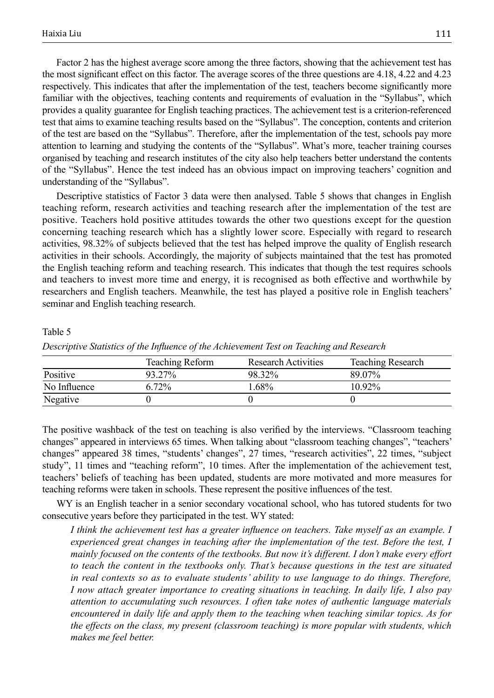Factor 2 has the highest average score among the three factors, showing that the achievement test has the most significant effect on this factor. The average scores of the three questions are 4.18, 4.22 and 4.23 respectively. This indicates that after the implementation of the test, teachers become significantly more familiar with the objectives, teaching contents and requirements of evaluation in the "Syllabus", which provides a quality guarantee for English teaching practices. The achievement test is a criterion-referenced test that aims to examine teaching results based on the "Syllabus". The conception, contents and criterion of the test are based on the "Syllabus". Therefore, after the implementation of the test, schools pay more attention to learning and studying the contents of the "Syllabus". What's more, teacher training courses organised by teaching and research institutes of the city also help teachers better understand the contents of the "Syllabus". Hence the test indeed has an obvious impact on improving teachers' cognition and understanding of the "Syllabus".

Descriptive statistics of Factor 3 data were then analysed. Table 5 shows that changes in English teaching reform, research activities and teaching research after the implementation of the test are positive. Teachers hold positive attitudes towards the other two questions except for the question concerning teaching research which has a slightly lower score. Especially with regard to research activities, 98.32% of subjects believed that the test has helped improve the quality of English research activities in their schools. Accordingly, the majority of subjects maintained that the test has promoted the English teaching reform and teaching research. This indicates that though the test requires schools and teachers to invest more time and energy, it is recognised as both effective and worthwhile by researchers and English teachers. Meanwhile, the test has played a positive role in English teachers' seminar and English teaching research.

#### Table 5

|              | <b>Teaching Reform</b> | <b>Research Activities</b> | <b>Teaching Research</b> |
|--------------|------------------------|----------------------------|--------------------------|
| Positive     | 93.27%                 | 98.32%                     | 89.07%                   |
| No Influence | 6.72%                  | $1.68\%$                   | $10.92\%$                |
| Negative     |                        |                            |                          |

*Descriptive Statistics of the Influence of the Achievement Test on Teaching and Research*

The positive washback of the test on teaching is also verified by the interviews. "Classroom teaching changes" appeared in interviews 65 times. When talking about "classroom teaching changes", "teachers' changes" appeared 38 times, "students' changes", 27 times, "research activities", 22 times, "subject study", 11 times and "teaching reform", 10 times. After the implementation of the achievement test, teachers' beliefs of teaching has been updated, students are more motivated and more measures for teaching reforms were taken in schools. These represent the positive influences of the test.

WY is an English teacher in a senior secondary vocational school, who has tutored students for two consecutive years before they participated in the test. WY stated:

*I think the achievement test has a greater influence on teachers. Take myself as an example. I experienced great changes in teaching after the implementation of the test. Before the test, I mainly focused on the contents of the textbooks. But now it's different. I don't make every effort to teach the content in the textbooks only. That's because questions in the test are situated in real contexts so as to evaluate students' ability to use language to do things. Therefore, I now attach greater importance to creating situations in teaching. In daily life, I also pay attention to accumulating such resources. I often take notes of authentic language materials encountered in daily life and apply them to the teaching when teaching similar topics. As for the effects on the class, my present (classroom teaching) is more popular with students, which makes me feel better.*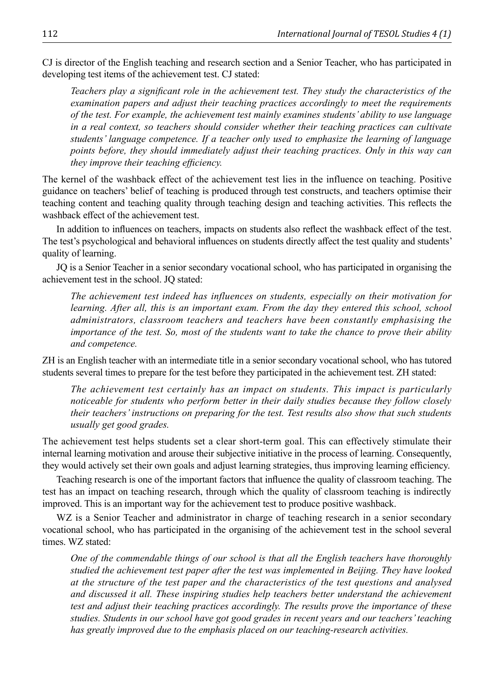CJ is director of the English teaching and research section and a Senior Teacher, who has participated in developing test items of the achievement test. CJ stated:

*Teachers play a significant role in the achievement test. They study the characteristics of the examination papers and adjust their teaching practices accordingly to meet the requirements of the test. For example, the achievement test mainly examines students' ability to use language in a real context, so teachers should consider whether their teaching practices can cultivate students' language competence. If a teacher only used to emphasize the learning of language points before, they should immediately adjust their teaching practices. Only in this way can they improve their teaching efficiency.*

The kernel of the washback effect of the achievement test lies in the influence on teaching. Positive guidance on teachers' belief of teaching is produced through test constructs, and teachers optimise their teaching content and teaching quality through teaching design and teaching activities. This reflects the washback effect of the achievement test.

In addition to influences on teachers, impacts on students also reflect the washback effect of the test. The test's psychological and behavioral influences on students directly affect the test quality and students' quality of learning.

JQ is a Senior Teacher in a senior secondary vocational school, who has participated in organising the achievement test in the school. JQ stated:

*The achievement test indeed has influences on students, especially on their motivation for learning. After all, this is an important exam. From the day they entered this school, school administrators, classroom teachers and teachers have been constantly emphasising the importance of the test. So, most of the students want to take the chance to prove their ability and competence.*

ZH is an English teacher with an intermediate title in a senior secondary vocational school, who has tutored students several times to prepare for the test before they participated in the achievement test. ZH stated:

*The achievement test certainly has an impact on students. This impact is particularly noticeable for students who perform better in their daily studies because they follow closely their teachers' instructions on preparing for the test. Test results also show that such students usually get good grades.*

The achievement test helps students set a clear short-term goal. This can effectively stimulate their internal learning motivation and arouse their subjective initiative in the process of learning. Consequently, they would actively set their own goals and adjust learning strategies, thus improving learning efficiency.

Teaching research is one of the important factors that influence the quality of classroom teaching. The test has an impact on teaching research, through which the quality of classroom teaching is indirectly improved. This is an important way for the achievement test to produce positive washback.

WZ is a Senior Teacher and administrator in charge of teaching research in a senior secondary vocational school, who has participated in the organising of the achievement test in the school several times. WZ stated:

*One of the commendable things of our school is that all the English teachers have thoroughly studied the achievement test paper after the test was implemented in Beijing. They have looked at the structure of the test paper and the characteristics of the test questions and analysed and discussed it all. These inspiring studies help teachers better understand the achievement test and adjust their teaching practices accordingly. The results prove the importance of these studies. Students in our school have got good grades in recent years and our teachers' teaching has greatly improved due to the emphasis placed on our teaching-research activities.*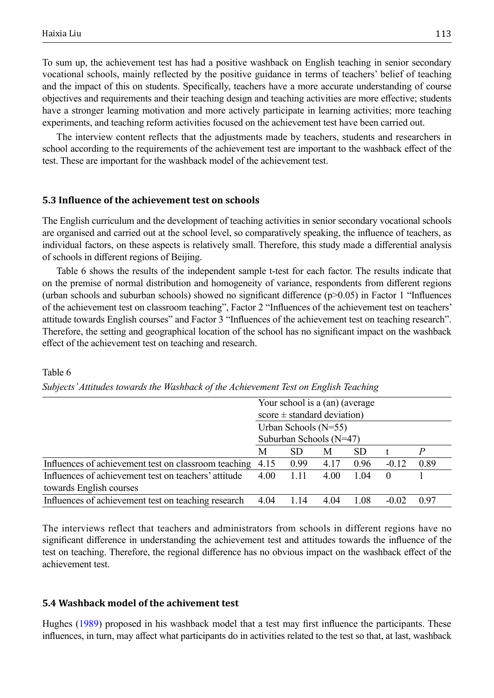Table 6

To sum up, the achievement test has had a positive washback on English teaching in senior secondary vocational schools, mainly reflected by the positive guidance in terms of teachers' belief of teaching and the impact of this on students. Specifically, teachers have a more accurate understanding of course objectives and requirements and their teaching design and teaching activities are more effective; students have a stronger learning motivation and more actively participate in learning activities; more teaching experiments, and teaching reform activities focused on the achievement test have been carried out.

The interview content reflects that the adjustments made by teachers, students and researchers in school according to the requirements of the achievement test are important to the washback effect of the test. These are important for the washback model of the achievement test.

#### **5.3 Influence of the achievement test on schools**

The English curriculum and the development of teaching activities in senior secondary vocational schools are organised and carried out at the school level, so comparatively speaking, the influence of teachers, as individual factors, on these aspects is relatively small. Therefore, this study made a differential analysis of schools in different regions of Beijing.

Table 6 shows the results of the independent sample t-test for each factor. The results indicate that on the premise of normal distribution and homogeneity of variance, respondents from different regions (urban schools and suburban schools) showed no significant difference (p>0.05) in Factor 1 "Influences of the achievement test on classroom teaching", Factor 2 "Influences of the achievement test on teachers' attitude towards English courses" and Factor 3 "Influences of the achievement test on teaching research". Therefore, the setting and geographical location of the school has no significant impact on the washback effect of the achievement test on teaching and research.

|                                                           | Your school is a (an) (average  |           |      |           |          |      |
|-----------------------------------------------------------|---------------------------------|-----------|------|-----------|----------|------|
|                                                           | $score \pm standard deviation)$ |           |      |           |          |      |
|                                                           | Urban Schools $(N=55)$          |           |      |           |          |      |
|                                                           | Suburban Schools (N=47)         |           |      |           |          |      |
|                                                           | M                               | <b>SD</b> | M    | <b>SD</b> |          |      |
| Influences of achievement test on classroom teaching 4.15 |                                 | 0.99      | 4.17 | 0.96      | $-0.12$  | 0.89 |
| Influences of achievement test on teachers' attitude      | 4.00                            | 1.11      | 4.00 | 1.04      | $\theta$ |      |
| towards English courses                                   |                                 |           |      |           |          |      |
| Influences of achievement test on teaching research       | 4.04                            | 1.14      | 4.04 | 1.08      | $-0.02$  | 0.97 |

### *Subjects' Attitudes towards the Washback of the Achievement Test on English Teaching*

The interviews reflect that teachers and administrators from schools in different regions have no significant difference in understanding the achievement test and attitudes towards the influence of the test on teaching. Therefore, the regional difference has no obvious impact on the washback effect of the achievement test.

#### **5.4 Washback model of the achivement test**

Hughes [\(1989](#page-13-0)) proposed in his washback model that a test may first influence the participants. These influences, in turn, may affect what participants do in activities related to the test so that, at last, washback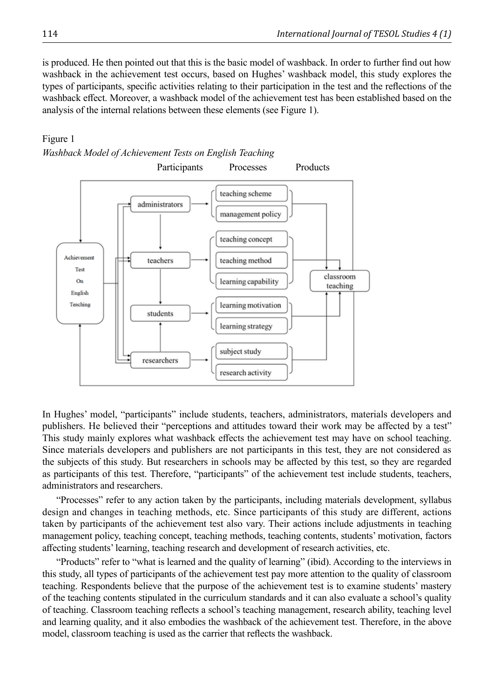is produced. He then pointed out that this is the basic model of washback. In order to further find out how washback in the achievement test occurs, based on Hughes' washback model, this study explores the types of participants, specific activities relating to their participation in the test and the reflections of the washback effect. Moreover, a washback model of the achievement test has been established based on the analysis of the internal relations between these elements (see Figure 1).

#### Figure 1



In Hughes' model, "participants" include students, teachers, administrators, materials developers and publishers. He believed their "perceptions and attitudes toward their work may be affected by a test" This study mainly explores what washback effects the achievement test may have on school teaching. Since materials developers and publishers are not participants in this test, they are not considered as the subjects of this study. But researchers in schools may be affected by this test, so they are regarded as participants of this test. Therefore, "participants" of the achievement test include students, teachers, administrators and researchers.

"Processes" refer to any action taken by the participants, including materials development, syllabus design and changes in teaching methods, etc. Since participants of this study are different, actions taken by participants of the achievement test also vary. Their actions include adjustments in teaching management policy, teaching concept, teaching methods, teaching contents, students' motivation, factors affecting students' learning, teaching research and development of research activities, etc.

"Products" refer to "what is learned and the quality of learning" (ibid). According to the interviews in this study, all types of participants of the achievement test pay more attention to the quality of classroom teaching. Respondents believe that the purpose of the achievement test is to examine students' mastery of the teaching contents stipulated in the curriculum standards and it can also evaluate a school's quality of teaching. Classroom teaching reflects a school's teaching management, research ability, teaching level and learning quality, and it also embodies the washback of the achievement test. Therefore, in the above model, classroom teaching is used as the carrier that reflects the washback.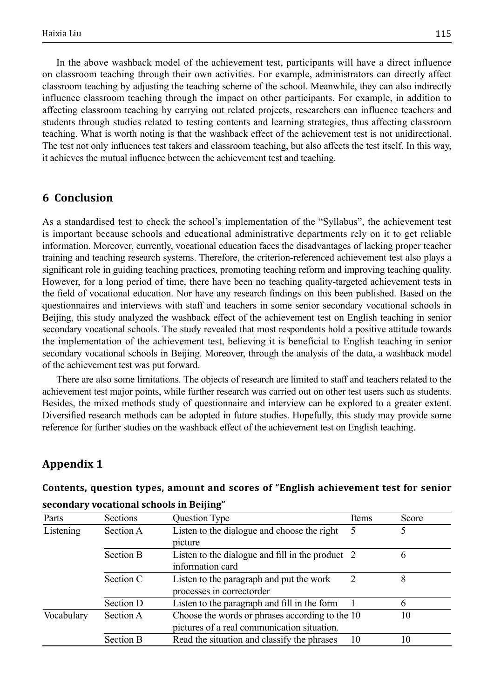In the above washback model of the achievement test, participants will have a direct influence on classroom teaching through their own activities. For example, administrators can directly affect classroom teaching by adjusting the teaching scheme of the school. Meanwhile, they can also indirectly influence classroom teaching through the impact on other participants. For example, in addition to affecting classroom teaching by carrying out related projects, researchers can influence teachers and students through studies related to testing contents and learning strategies, thus affecting classroom teaching. What is worth noting is that the washback effect of the achievement test is not unidirectional. The test not only influences test takers and classroom teaching, but also affects the test itself. In this way, it achieves the mutual influence between the achievement test and teaching.

## **6 Conclusion**

As a standardised test to check the school's implementation of the "Syllabus", the achievement test is important because schools and educational administrative departments rely on it to get reliable information. Moreover, currently, vocational education faces the disadvantages of lacking proper teacher training and teaching research systems. Therefore, the criterion-referenced achievement test also plays a significant role in guiding teaching practices, promoting teaching reform and improving teaching quality. However, for a long period of time, there have been no teaching quality-targeted achievement tests in the field of vocational education. Nor have any research findings on this been published. Based on the questionnaires and interviews with staff and teachers in some senior secondary vocational schools in Beijing, this study analyzed the washback effect of the achievement test on English teaching in senior secondary vocational schools. The study revealed that most respondents hold a positive attitude towards the implementation of the achievement test, believing it is beneficial to English teaching in senior secondary vocational schools in Beijing. Moreover, through the analysis of the data, a washback model of the achievement test was put forward.

There are also some limitations. The objects of research are limited to staff and teachers related to the achievement test major points, while further research was carried out on other test users such as students. Besides, the mixed methods study of questionnaire and interview can be explored to a greater extent. Diversified research methods can be adopted in future studies. Hopefully, this study may provide some reference for further studies on the washback effect of the achievement test on English teaching.

## **Appendix 1**

# **Contents, question types, amount and scores of "English achievement test for senior**

| Parts                  | Sections         | Question Type                                    | Items | Score |
|------------------------|------------------|--------------------------------------------------|-------|-------|
| Listening<br>Section A |                  | Listen to the dialogue and choose the right      |       | 5     |
|                        |                  | picture                                          |       |       |
|                        | Section B        | Listen to the dialogue and fill in the product 2 |       | 6     |
|                        |                  | information card                                 |       |       |
|                        | Section C        | Listen to the paragraph and put the work         |       | 8     |
|                        |                  | processes in correctorder                        |       |       |
|                        | Section D        | Listen to the paragraph and fill in the form     |       | 6     |
| Vocabulary             | Section A        | Choose the words or phrases according to the 10  |       | 10    |
|                        |                  | pictures of a real communication situation.      |       |       |
|                        | <b>Section B</b> | Read the situation and classify the phrases      | 10    | 10    |

#### **secondary vocational schools in Beijing"**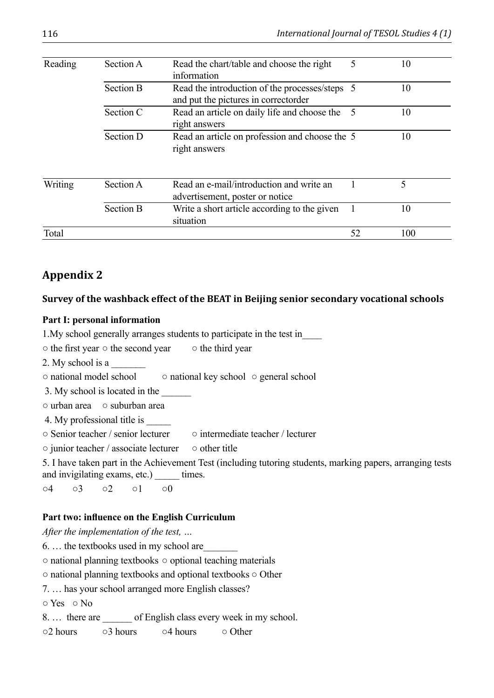| Reading | Section A        | Read the chart/table and choose the right<br>information                               |    | 10  |
|---------|------------------|----------------------------------------------------------------------------------------|----|-----|
|         | <b>Section B</b> | Read the introduction of the processes/steps 5<br>and put the pictures in correctorder |    | 10  |
|         | Section C        | Read an article on daily life and choose the<br>right answers                          | 5  | 10  |
|         | Section D        | Read an article on profession and choose the 5<br>right answers                        |    | 10  |
| Writing | Section A        | Read an e-mail/introduction and write an<br>advertisement, poster or notice            |    | 5   |
|         | Section B        | Write a short article according to the given<br>situation                              |    | 10  |
| Total   |                  |                                                                                        | 52 | 100 |

# **Appendix 2**

## **Survey of the washback effect of the BEAT in Beijing senior secondary vocational schools**

## **Part I: personal information**

1.My school generally arranges students to participate in the test in\_\_\_\_

- the first year the second year the third year
- 2. My school is a

○ national model school ○ national key school ○ general school

3. My school is located in the

○ urban area ○ suburban area

4. My professional title is

○ Senior teacher / senior lecturer ○ intermediate teacher / lecturer

○ junior teacher / associate lecturer ○ other title

5. I have taken part in the Achievement Test (including tutoring students, marking papers, arranging tests and invigilating exams, etc.) \_\_\_\_\_\_ times.

○4 ○3 ○2 ○1 ○0

## **Part two: influence on the English Curriculum**

*After the implementation of the test, …*

6. … the textbooks used in my school are\_\_\_\_\_\_\_

○ national planning textbooks ○ optional teaching materials

○ national planning textbooks and optional textbooks ○ Other

7. … has your school arranged more English classes?

○ Yes ○ No

8. ... there are of English class every week in my school.

○2 hours ○ 3 hours ○ 4 hours ○ Other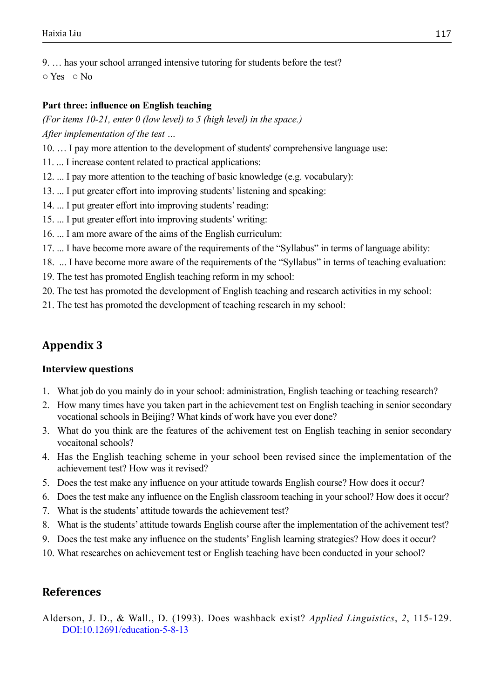9. … has your school arranged intensive tutoring for students before the test?

○ Yes ○ No

## **Part three: influence on English teaching**

*(For items 10-21, enter 0 (low level) to 5 (high level) in the space.) After implementation of the test …*

- 10. … I pay more attention to the development of students' comprehensive language use:
- 11. ... I increase content related to practical applications:
- 12. ... I pay more attention to the teaching of basic knowledge (e.g. vocabulary):
- 13. ... I put greater effort into improving students' listening and speaking:
- 14. ... I put greater effort into improving students' reading:
- 15. ... I put greater effort into improving students' writing:
- 16. ... I am more aware of the aims of the English curriculum:
- 17. ... I have become more aware of the requirements of the "Syllabus" in terms of language ability:
- 18. ... I have become more aware of the requirements of the "Syllabus" in terms of teaching evaluation:
- 19. The test has promoted English teaching reform in my school:
- 20. The test has promoted the development of English teaching and research activities in my school:
- 21. The test has promoted the development of teaching research in my school:

# **Appendix 3**

## **Interview questions**

- 1. What job do you mainly do in your school: administration, English teaching or teaching research?
- 2. How many times have you taken part in the achievement test on English teaching in senior secondary vocational schools in Beijing? What kinds of work have you ever done?
- 3. What do you think are the features of the achivement test on English teaching in senior secondary vocaitonal schools?
- 4. Has the English teaching scheme in your school been revised since the implementation of the achievement test? How was it revised?
- 5. Does the test make any influence on your attitude towards English course? How does it occur?
- 6. Does the test make any influence on the English classroom teaching in your school? How does it occur?
- 7. What is the students' attitude towards the achievement test?
- 8. What is the students' attitude towards English course after the implementation of the achivement test?
- 9. Does the test make any influence on the students' English learning strategies? How does it occur?
- 10. What researches on achievement test or English teaching have been conducted in your school?

## **References**

<span id="page-12-0"></span>Alderson, J. D., & Wall., D. (1993). Does washback exist? *Applied Linguistics*, *2*, 115-129. <DOI:10.12691/education-5-8-13>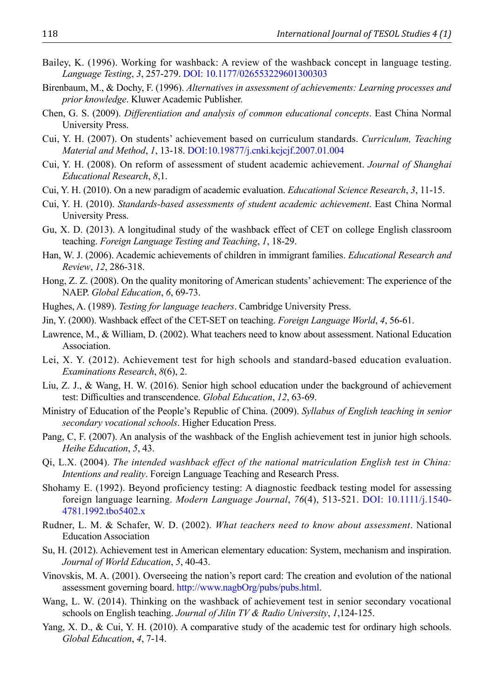- <span id="page-13-15"></span>Bailey, K. (1996). Working for washback: A review of the washback concept in language testing. *Language Testing*, *3*, 257-279. <DOI: 10.1177/026553229601300303>
- <span id="page-13-3"></span>Birenbaum, M., & Dochy, F. (1996). *Alternatives in assessment of achievements: Learning processes and prior knowledge*. Kluwer Academic Publisher.
- <span id="page-13-2"></span>Chen, G. S. (2009). *Differentiation and analysis of common educational concepts*. East China Normal University Press.
- <span id="page-13-4"></span>Cui, Y. H. (2007). On students' achievement based on curriculum standards. *Curriculum, Teaching Material and Method*, *1*, 13-18. <DOI:10.19877/j.cnki.kcjcjf.2007.01.004>
- <span id="page-13-5"></span>Cui, Y. H. (2008). On reform of assessment of student academic achievement. *Journal of Shanghai Educational Research*, *8*,1.
- <span id="page-13-1"></span>Cui, Y. H. (2010). On a new paradigm of academic evaluation. *Educational Science Research*, *3*, 11-15.
- Cui, Y. H. (2010). *Standards-based assessments of student academic achievement*. East China Normal University Press.
- <span id="page-13-16"></span>Gu, X. D. (2013). A longitudinal study of the washback effect of CET on college English classroom teaching. *Foreign Language Testing and Teaching*, *1*, 18-29.
- <span id="page-13-6"></span>Han, W. J. (2006). Academic achievements of children in immigrant families. *Educational Research and Review*, *12*, 286-318.
- <span id="page-13-7"></span>Hong, Z. Z. (2008). On the quality monitoring of American students' achievement: The experience of the NAEP. *Global Education*, *6*, 69-73.
- <span id="page-13-0"></span>Hughes, A. (1989). *Testing for language teachers*. Cambridge University Press.
- <span id="page-13-17"></span>Jin, Y. (2000). Washback effect of the CET-SET on teaching. *Foreign Language World*, *4*, 56-61.
- Lawrence, M., & William, D. (2002). What teachers need to know about assessment. National Education Association.
- <span id="page-13-8"></span>Lei, X. Y. (2012). Achievement test for high schools and standard-based education evaluation. *Examinations Research*, *8*(6), 2.
- <span id="page-13-9"></span>Liu, Z. J., & Wang, H. W. (2016). Senior high school education under the background of achievement test: Difficulties and transcendence. *Global Education*, *12*, 63-69.
- Ministry of Education of the People's Republic of China. (2009). *Syllabus of English teaching in senior secondary vocational schools*. Higher Education Press.
- <span id="page-13-19"></span>Pang, C, F. (2007). An analysis of the washback of the English achievement test in junior high schools. *Heihe Education*, *5*, 43.
- <span id="page-13-13"></span>Qi, L.X. (2004). *The intended washback effect of the national matriculation English test in China: Intentions and reality*. Foreign Language Teaching and Research Press.
- <span id="page-13-14"></span>Shohamy E. (1992). Beyond proficiency testing: A diagnostic feedback testing model for assessing foreign language learning. *Modern Language Journal*, *76*(4), 513-521. [DOI: 10.1111/j.1540-](DOI: 10.1111/j.1540-4781.1992.tbo5402.x) [4781.1992.tbo5402.x](DOI: 10.1111/j.1540-4781.1992.tbo5402.x)
- <span id="page-13-10"></span>Rudner, L. M. & Schafer, W. D. (2002). *What teachers need to know about assessment*. National Education Association
- Su, H. (2012). Achievement test in American elementary education: System, mechanism and inspiration. *Journal of World Education*, *5*, 40-43.
- <span id="page-13-11"></span>Vinovskis, M. A. (2001). Overseeing the nation's report card: The creation and evolution of the national assessment governing board. <http://www.nagbOrg/pubs/pubs.html>.
- <span id="page-13-18"></span>Wang, L. W. (2014). Thinking on the washback of achievement test in senior secondary vocational schools on English teaching. *Journal of Jilin TV & Radio University*, *1*,124-125.
- <span id="page-13-12"></span>Yang, X. D., & Cui, Y. H. (2010). A comparative study of the academic test for ordinary high schools. *Global Education*, *4*, 7-14.